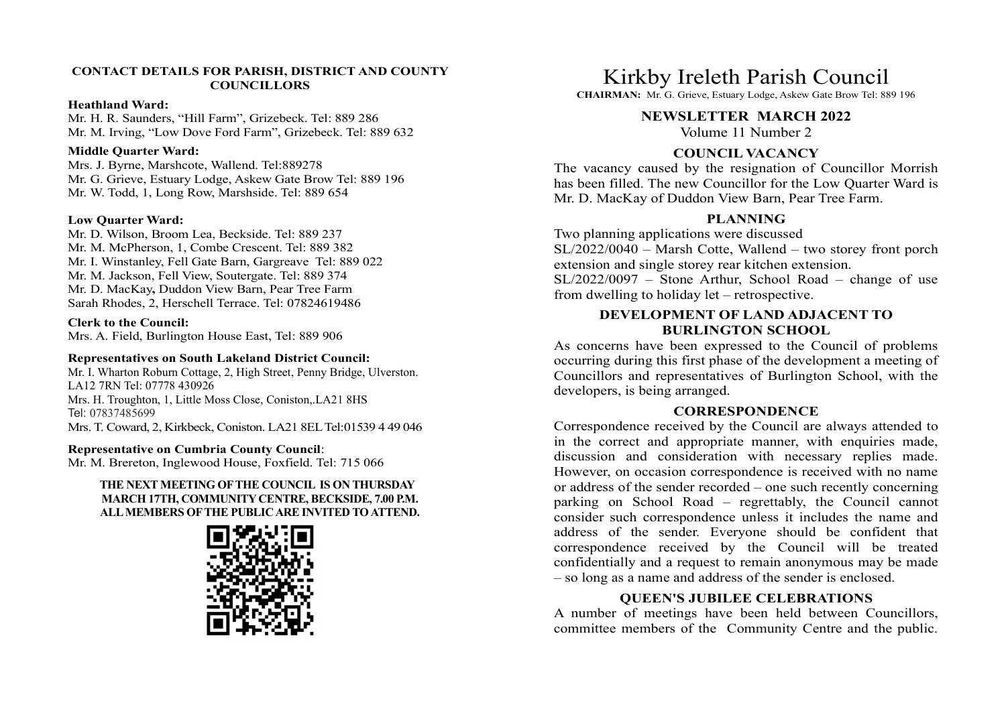### CONTACT DETAILS FOR PARISH, DISTRICT AND COUNTY **COUNCILLORS**

#### Heathland Ward:

Mr. H. R. Saunders, "Hill Farm", Grizebeck. Tel: 889 286 Mr. M. Irving, "Low Dove Ford Farm", Grizebeck. Tel: 889 632

### Middle Quarter Ward:

Mrs. J. Byrne, Marshcote, Wallend. Tel:889278 Mr. G. Grieve, Estuary Lodge, Askew Gate Brow Tel: 889 196 Mr. W. Todd, 1, Long Row, Marshside. Tel: 889 654

#### Low Quarter Ward:

Mr. D. Wilson, Broom Lea, Beckside. Tel: 889 237 Mr. M. McPherson, 1, Combe Crescent. Tel: 889 382 Mr. I. Winstanley, Fell Gate Barn, Gargreave Tel: 889 022 Mr. M. Jackson, Fell View, Soutergate. Tel: 889 374 Sarah Rhodes, 2, Herschell Terrace. Tel: 07824619486

## Clerk to the Council:

Mrs. A. Field, Burlington House East, Tel: 889 906

#### Representatives on South Lakeland District Council:

Mr. I. Wharton Roburn Cottage, 2, High Street, Penny Bridge, Ulverston. LA12 7RN Tel: 07778 430926 Mrs. H. Troughton, 1, Little Moss Close, Coniston,.LA21 8HS Tel: 07837485699 Mrs. T. Coward, 2, Kirkbeck, Coniston. LA21 8EL Tel:01539 4 49 046

#### Representative on Cumbria County Council:

## THE NEXT MEETING OF THE COUNCIL IS ON THURSDAY MARCH 17TH, COMMUNITY CENTRE, BECKSIDE, 7.00 P.M. ALL MEMBERS OF THE PUBLIC ARE INVITED TO ATTEND.



# Kirkby Ireleth Parish Council

CHAIRMAN: Mr. G. Grieve, Estuary Lodge, Askew Gate Brow Tel: 889 196

# NEWSLETTER MARCH 2022

Volume 11 Number 2

# COUNCIL VACANCY

The vacancy caused by the resignation of Councillor Morrish has been filled. The new Councillor for the Low Quarter Ward is Mr. D. MacKay of Duddon View Barn, Pear Tree Farm.

# PLANNING

Two planning applications were discussed SL/2022/0040 – Marsh Cotte, Wallend – two storey front porch extension and single storey rear kitchen extension. Kirkby Ireleth Parish Council<br>CHAIRMAN: ME G. Grieve, Estuary Lodge, Askew Gate Brow Tel: 889 196<br>NEWSLETTER MARCH 2022<br>Volume 11 Number 2<br>COUNCIL VACANCY<br>The vacancy caused by the resignation of Councillor Morrish<br>has bee

Mr. M. Jackson, Fell View, Soutergate. Tel: 889 374<br>Mr. D. MacKay, Duddon View Barn, Pear Tree Farm<br>
Mr. D. MacKay, Duddon View Barn, Pear Tree Farm from dwelling to holiday let – retrospective.

# DEVELOPMENT OF LAND ADJACENT TO BURLINGTON SCHOOL

As concerns have been expressed to the Council of problems occurring during this first phase of the development a meeting of Councillors and representatives of Burlington School, with the developers, is being arranged.

## **CORRESPONDENCE**

Representative of Cumbria County Council.<br>Mr. M. Brereton, Inglewood House, Foxfield. Tel: 715 066 discussion and consideration with necessary replies made. Correspondence received by the Council are always attended to FORE VALUATION COUNCE COUNCE COUNCE COUNCE COUNCE COUNCE COUNCE COUNCE COUNCE COUNCE COUNCE AND A MANN AND A PART THE FROM PROPRIME THE THE THE FROM PROPRIME THE PART TO PLANNING TWO planning applications were discussed<br>wi **COUNCIL VACANCY**<br>
The vacancy caused by the resignation of Councillor Morrish<br>
has been filled. The new Councillor for the Low Quarter Ward is<br>
Mr. D. MacKay of Duddon View Barn, Pear Tree Farm.<br>
Two planning applications However, on occasion correspondence is received with no name or address of the sender recorded – one such recently concerning Mr. D. MacKay of Duddon View Barn, Pear Tree Farm.<br>
Two planning applications were discussed<br>
SL/2022/0040 – Marsh Cotte, Wallend – two storey front porch<br>
extension and single storey rear kitchen extension.<br>
EV/2022/0097 consider such correspondence unless it includes the name and address of the sender. Everyone should be confident that Two planning applications were discussed<br>SL/2022/0040 – Marsh Cotte, Wallend – two storey front porch<br>extension and single storey rear kitchen extension.<br>SL/2022/0097 – Stone Arthur, School Road – change of use<br>from dwell correspondence received by the Council of the Council SACC-22/0040 – Marsh Cotte, Wallend – two storey front porch<br>SL/2022/0040 – Marsh Cotte, Wallend – two storey front porch<br>SL/2022/0097 – Stone Arthur, School Road – cha confidentially and a request to remain anonymous may be made – so long as a name and address of the sender is enclosed. **BEVELOPMENT OF LAND ADJACENT TO**<br>**As concerns have been expressed to the Council of problems**<br>occurring during this first phase of the development a meeting of<br>councillors and representatives of Burlington School, with th

# QUEEN'S JUBILEE CELEBRATIONS

committee members of the Community Centre and the public.